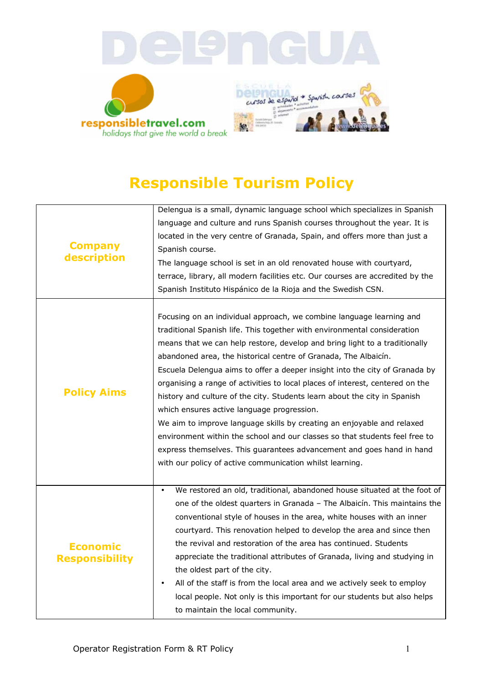

## **Responsible Tourism Policy**

| <b>Company</b><br>description            | Delengua is a small, dynamic language school which specializes in Spanish             |
|------------------------------------------|---------------------------------------------------------------------------------------|
|                                          | language and culture and runs Spanish courses throughout the year. It is              |
|                                          | located in the very centre of Granada, Spain, and offers more than just a             |
|                                          | Spanish course.                                                                       |
|                                          | The language school is set in an old renovated house with courtyard,                  |
|                                          | terrace, library, all modern facilities etc. Our courses are accredited by the        |
|                                          | Spanish Instituto Hispánico de la Rioja and the Swedish CSN.                          |
|                                          |                                                                                       |
| <b>Policy Aims</b>                       | Focusing on an individual approach, we combine language learning and                  |
|                                          | traditional Spanish life. This together with environmental consideration              |
|                                          | means that we can help restore, develop and bring light to a traditionally            |
|                                          | abandoned area, the historical centre of Granada, The Albaicín.                       |
|                                          | Escuela Delengua aims to offer a deeper insight into the city of Granada by           |
|                                          | organising a range of activities to local places of interest, centered on the         |
|                                          | history and culture of the city. Students learn about the city in Spanish             |
|                                          | which ensures active language progression.                                            |
|                                          | We aim to improve language skills by creating an enjoyable and relaxed                |
|                                          | environment within the school and our classes so that students feel free to           |
|                                          | express themselves. This guarantees advancement and goes hand in hand                 |
|                                          | with our policy of active communication whilst learning.                              |
|                                          |                                                                                       |
|                                          | We restored an old, traditional, abandoned house situated at the foot of<br>$\bullet$ |
|                                          | one of the oldest quarters in Granada - The Albaicín. This maintains the              |
|                                          | conventional style of houses in the area, white houses with an inner                  |
| <b>Economic</b><br><b>Responsibility</b> | courtyard. This renovation helped to develop the area and since then                  |
|                                          | the revival and restoration of the area has continued. Students                       |
|                                          | appreciate the traditional attributes of Granada, living and studying in              |
|                                          | the oldest part of the city.                                                          |
|                                          | All of the staff is from the local area and we actively seek to employ<br>$\bullet$   |
|                                          | local people. Not only is this important for our students but also helps              |
|                                          | to maintain the local community.                                                      |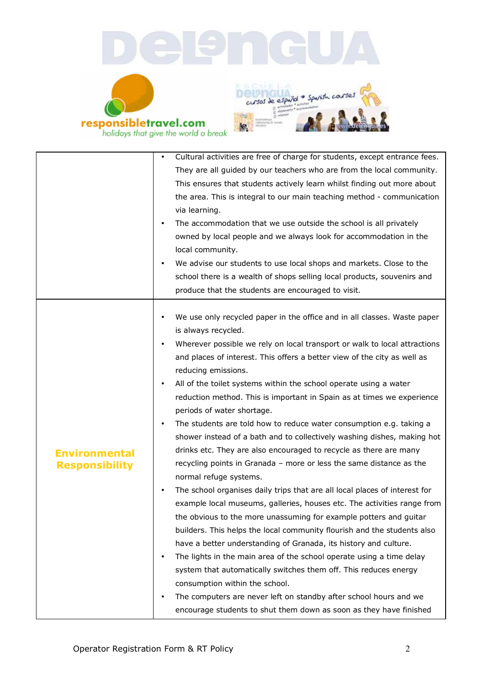





|                       | Cultural activities are free of charge for students, except entrance fees.       |
|-----------------------|----------------------------------------------------------------------------------|
|                       | They are all guided by our teachers who are from the local community.            |
|                       | This ensures that students actively learn whilst finding out more about          |
|                       | the area. This is integral to our main teaching method - communication           |
|                       | via learning.                                                                    |
|                       | The accommodation that we use outside the school is all privately                |
|                       | owned by local people and we always look for accommodation in the                |
|                       | local community.                                                                 |
|                       | We advise our students to use local shops and markets. Close to the<br>$\bullet$ |
|                       | school there is a wealth of shops selling local products, souvenirs and          |
|                       | produce that the students are encouraged to visit.                               |
|                       |                                                                                  |
|                       | We use only recycled paper in the office and in all classes. Waste paper         |
|                       | is always recycled.                                                              |
|                       | Wherever possible we rely on local transport or walk to local attractions        |
|                       | and places of interest. This offers a better view of the city as well as         |
|                       | reducing emissions.                                                              |
|                       | All of the toilet systems within the school operate using a water<br>$\bullet$   |
|                       | reduction method. This is important in Spain as at times we experience           |
|                       | periods of water shortage.                                                       |
|                       | The students are told how to reduce water consumption e.g. taking a<br>$\bullet$ |
|                       | shower instead of a bath and to collectively washing dishes, making hot          |
| <b>Environmental</b>  | drinks etc. They are also encouraged to recycle as there are many                |
| <b>Responsibility</b> | recycling points in Granada - more or less the same distance as the              |
|                       | normal refuge systems.                                                           |
|                       | The school organises daily trips that are all local places of interest for       |
|                       | example local museums, galleries, houses etc. The activities range from          |
|                       | the obvious to the more unassuming for example potters and guitar                |
|                       | builders. This helps the local community flourish and the students also          |
|                       | have a better understanding of Granada, its history and culture.                 |
|                       | The lights in the main area of the school operate using a time delay<br>٠        |
|                       | system that automatically switches them off. This reduces energy                 |
|                       | consumption within the school.                                                   |
|                       | The computers are never left on standby after school hours and we<br>$\bullet$   |
|                       | encourage students to shut them down as soon as they have finished               |